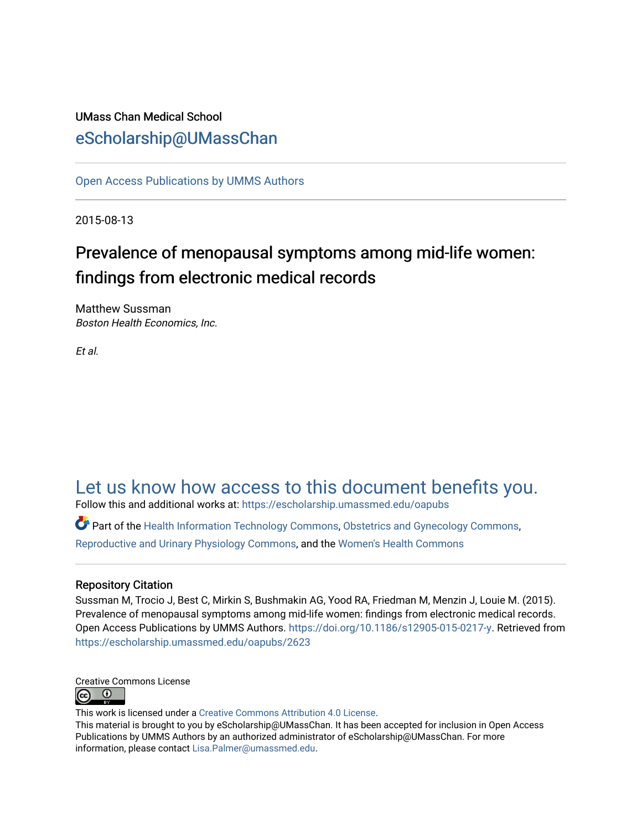### UMass Chan Medical School [eScholarship@UMassChan](https://escholarship.umassmed.edu/)

[Open Access Publications by UMMS Authors](https://escholarship.umassmed.edu/oapubs)

2015-08-13

# Prevalence of menopausal symptoms among mid-life women: findings from electronic medical records

Matthew Sussman Boston Health Economics, Inc.

Et al.

## [Let us know how access to this document benefits you.](https://arcsapps.umassmed.edu/redcap/surveys/?s=XWRHNF9EJE)

Follow this and additional works at: [https://escholarship.umassmed.edu/oapubs](https://escholarship.umassmed.edu/oapubs?utm_source=escholarship.umassmed.edu%2Foapubs%2F2623&utm_medium=PDF&utm_campaign=PDFCoverPages) 

Part of the [Health Information Technology Commons,](http://network.bepress.com/hgg/discipline/1239?utm_source=escholarship.umassmed.edu%2Foapubs%2F2623&utm_medium=PDF&utm_campaign=PDFCoverPages) [Obstetrics and Gynecology Commons](http://network.bepress.com/hgg/discipline/693?utm_source=escholarship.umassmed.edu%2Foapubs%2F2623&utm_medium=PDF&utm_campaign=PDFCoverPages), [Reproductive and Urinary Physiology Commons,](http://network.bepress.com/hgg/discipline/1001?utm_source=escholarship.umassmed.edu%2Foapubs%2F2623&utm_medium=PDF&utm_campaign=PDFCoverPages) and the [Women's Health Commons](http://network.bepress.com/hgg/discipline/1241?utm_source=escholarship.umassmed.edu%2Foapubs%2F2623&utm_medium=PDF&utm_campaign=PDFCoverPages) 

### Repository Citation

Sussman M, Trocio J, Best C, Mirkin S, Bushmakin AG, Yood RA, Friedman M, Menzin J, Louie M. (2015). Prevalence of menopausal symptoms among mid-life women: findings from electronic medical records. Open Access Publications by UMMS Authors. <https://doi.org/10.1186/s12905-015-0217-y>. Retrieved from [https://escholarship.umassmed.edu/oapubs/2623](https://escholarship.umassmed.edu/oapubs/2623?utm_source=escholarship.umassmed.edu%2Foapubs%2F2623&utm_medium=PDF&utm_campaign=PDFCoverPages)



This work is licensed under a [Creative Commons Attribution 4.0 License](http://creativecommons.org/licenses/by/4.0/).

This material is brought to you by eScholarship@UMassChan. It has been accepted for inclusion in Open Access Publications by UMMS Authors by an authorized administrator of eScholarship@UMassChan. For more information, please contact [Lisa.Palmer@umassmed.edu.](mailto:Lisa.Palmer@umassmed.edu)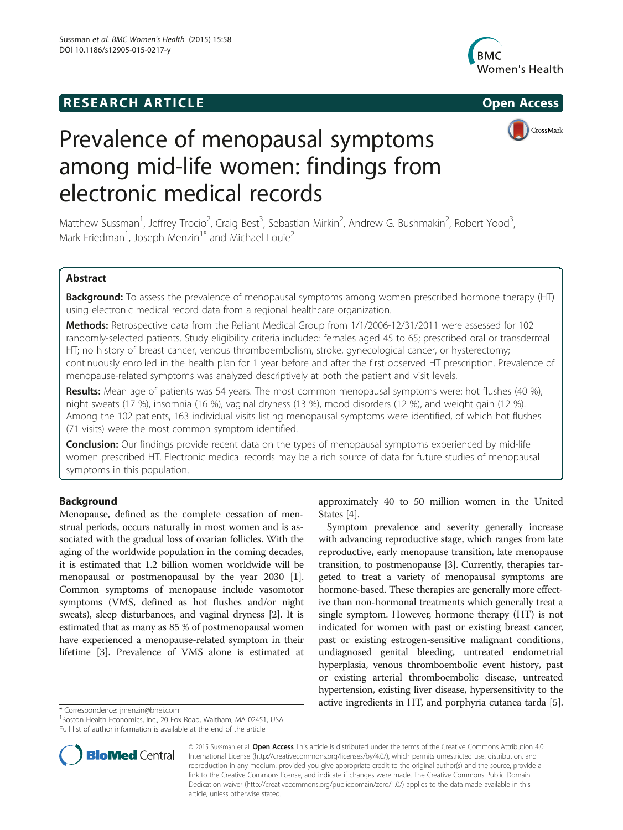### **RESEARCH ARTICLE Example 2014 The SEAR CH ACCESS**





# Prevalence of menopausal symptoms among mid-life women: findings from electronic medical records

Matthew Sussman<sup>1</sup>, Jeffrey Trocio<sup>2</sup>, Craig Best<sup>3</sup>, Sebastian Mirkin<sup>2</sup>, Andrew G. Bushmakin<sup>2</sup>, Robert Yood<sup>3</sup> , Mark Friedman<sup>1</sup>, Joseph Menzin<sup>1\*</sup> and Michael Louie<sup>2</sup>

#### Abstract

Background: To assess the prevalence of menopausal symptoms among women prescribed hormone therapy (HT) using electronic medical record data from a regional healthcare organization.

Methods: Retrospective data from the Reliant Medical Group from 1/1/2006-12/31/2011 were assessed for 102 randomly-selected patients. Study eligibility criteria included: females aged 45 to 65; prescribed oral or transdermal HT; no history of breast cancer, venous thromboembolism, stroke, gynecological cancer, or hysterectomy; continuously enrolled in the health plan for 1 year before and after the first observed HT prescription. Prevalence of menopause-related symptoms was analyzed descriptively at both the patient and visit levels.

Results: Mean age of patients was 54 years. The most common menopausal symptoms were: hot flushes (40 %), night sweats (17 %), insomnia (16 %), vaginal dryness (13 %), mood disorders (12 %), and weight gain (12 %). Among the 102 patients, 163 individual visits listing menopausal symptoms were identified, of which hot flushes (71 visits) were the most common symptom identified.

**Conclusion:** Our findings provide recent data on the types of menopausal symptoms experienced by mid-life women prescribed HT. Electronic medical records may be a rich source of data for future studies of menopausal symptoms in this population.

#### Background

Menopause, defined as the complete cessation of menstrual periods, occurs naturally in most women and is associated with the gradual loss of ovarian follicles. With the aging of the worldwide population in the coming decades, it is estimated that 1.2 billion women worldwide will be menopausal or postmenopausal by the year 2030 [[1](#page-5-0)]. Common symptoms of menopause include vasomotor symptoms (VMS, defined as hot flushes and/or night sweats), sleep disturbances, and vaginal dryness [\[2\]](#page-5-0). It is estimated that as many as 85 % of postmenopausal women have experienced a menopause-related symptom in their lifetime [\[3](#page-5-0)]. Prevalence of VMS alone is estimated at



Symptom prevalence and severity generally increase with advancing reproductive stage, which ranges from late reproductive, early menopause transition, late menopause transition, to postmenopause [\[3](#page-5-0)]. Currently, therapies targeted to treat a variety of menopausal symptoms are hormone-based. These therapies are generally more effective than non-hormonal treatments which generally treat a single symptom. However, hormone therapy (HT) is not indicated for women with past or existing breast cancer, past or existing estrogen-sensitive malignant conditions, undiagnosed genital bleeding, untreated endometrial hyperplasia, venous thromboembolic event history, past or existing arterial thromboembolic disease, untreated hypertension, existing liver disease, hypersensitivity to the active ingredients in HT, and porphyria cutanea tarda [[5](#page-5-0)]. \* Correspondence: [jmenzin@bhei.com](mailto:jmenzin@bhei.com) <sup>1</sup>



© 2015 Sussman et al. Open Access This article is distributed under the terms of the Creative Commons Attribution 4.0 International License [\(http://creativecommons.org/licenses/by/4.0/\)](http://creativecommons.org/licenses/by/4.0/), which permits unrestricted use, distribution, and reproduction in any medium, provided you give appropriate credit to the original author(s) and the source, provide a link to the Creative Commons license, and indicate if changes were made. The Creative Commons Public Domain Dedication waiver ([http://creativecommons.org/publicdomain/zero/1.0/\)](http://creativecommons.org/publicdomain/zero/1.0/) applies to the data made available in this article, unless otherwise stated.

<sup>&</sup>lt;sup>1</sup>Boston Health Economics, Inc., 20 Fox Road, Waltham, MA 02451, USA Full list of author information is available at the end of the article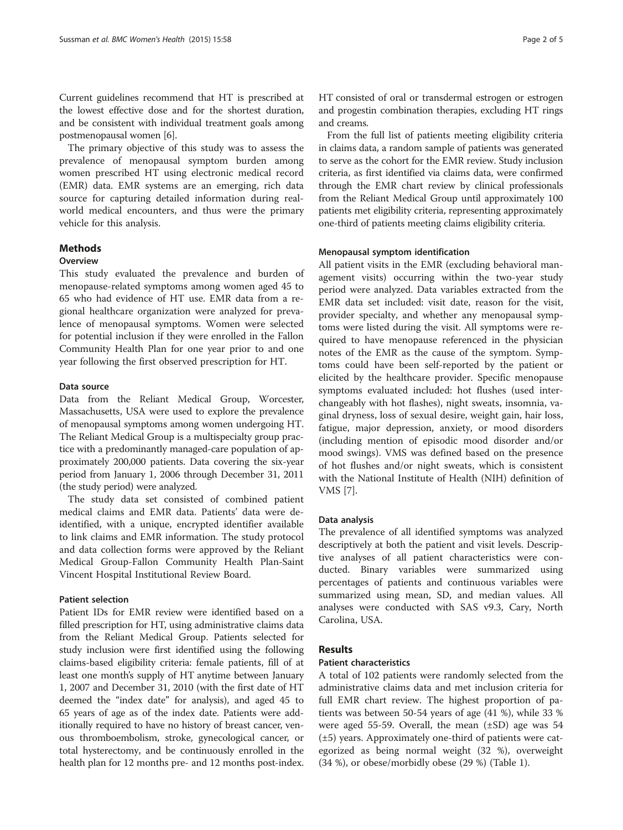Current guidelines recommend that HT is prescribed at the lowest effective dose and for the shortest duration, and be consistent with individual treatment goals among postmenopausal women [\[6](#page-5-0)].

The primary objective of this study was to assess the prevalence of menopausal symptom burden among women prescribed HT using electronic medical record (EMR) data. EMR systems are an emerging, rich data source for capturing detailed information during realworld medical encounters, and thus were the primary vehicle for this analysis.

#### Methods

#### **Overview**

This study evaluated the prevalence and burden of menopause-related symptoms among women aged 45 to 65 who had evidence of HT use. EMR data from a regional healthcare organization were analyzed for prevalence of menopausal symptoms. Women were selected for potential inclusion if they were enrolled in the Fallon Community Health Plan for one year prior to and one year following the first observed prescription for HT.

#### Data source

Data from the Reliant Medical Group, Worcester, Massachusetts, USA were used to explore the prevalence of menopausal symptoms among women undergoing HT. The Reliant Medical Group is a multispecialty group practice with a predominantly managed-care population of approximately 200,000 patients. Data covering the six-year period from January 1, 2006 through December 31, 2011 (the study period) were analyzed.

The study data set consisted of combined patient medical claims and EMR data. Patients' data were deidentified, with a unique, encrypted identifier available to link claims and EMR information. The study protocol and data collection forms were approved by the Reliant Medical Group-Fallon Community Health Plan-Saint Vincent Hospital Institutional Review Board.

#### Patient selection

Patient IDs for EMR review were identified based on a filled prescription for HT, using administrative claims data from the Reliant Medical Group. Patients selected for study inclusion were first identified using the following claims-based eligibility criteria: female patients, fill of at least one month's supply of HT anytime between January 1, 2007 and December 31, 2010 (with the first date of HT deemed the "index date" for analysis), and aged 45 to 65 years of age as of the index date. Patients were additionally required to have no history of breast cancer, venous thromboembolism, stroke, gynecological cancer, or total hysterectomy, and be continuously enrolled in the health plan for 12 months pre- and 12 months post-index. HT consisted of oral or transdermal estrogen or estrogen and progestin combination therapies, excluding HT rings and creams.

From the full list of patients meeting eligibility criteria in claims data, a random sample of patients was generated to serve as the cohort for the EMR review. Study inclusion criteria, as first identified via claims data, were confirmed through the EMR chart review by clinical professionals from the Reliant Medical Group until approximately 100 patients met eligibility criteria, representing approximately one-third of patients meeting claims eligibility criteria.

#### Menopausal symptom identification

All patient visits in the EMR (excluding behavioral management visits) occurring within the two-year study period were analyzed. Data variables extracted from the EMR data set included: visit date, reason for the visit, provider specialty, and whether any menopausal symptoms were listed during the visit. All symptoms were required to have menopause referenced in the physician notes of the EMR as the cause of the symptom. Symptoms could have been self-reported by the patient or elicited by the healthcare provider. Specific menopause symptoms evaluated included: hot flushes (used interchangeably with hot flashes), night sweats, insomnia, vaginal dryness, loss of sexual desire, weight gain, hair loss, fatigue, major depression, anxiety, or mood disorders (including mention of episodic mood disorder and/or mood swings). VMS was defined based on the presence of hot flushes and/or night sweats, which is consistent with the National Institute of Health (NIH) definition of VMS [[7\]](#page-5-0).

#### Data analysis

The prevalence of all identified symptoms was analyzed descriptively at both the patient and visit levels. Descriptive analyses of all patient characteristics were conducted. Binary variables were summarized using percentages of patients and continuous variables were summarized using mean, SD, and median values. All analyses were conducted with SAS v9.3, Cary, North Carolina, USA.

#### Results

#### Patient characteristics

A total of 102 patients were randomly selected from the administrative claims data and met inclusion criteria for full EMR chart review. The highest proportion of patients was between 50-54 years of age (41 %), while 33 % were aged 55-59. Overall, the mean  $(\pm SD)$  age was 54 (±5) years. Approximately one-third of patients were categorized as being normal weight (32 %), overweight (34 %), or obese/morbidly obese (29 %) (Table [1](#page-3-0)).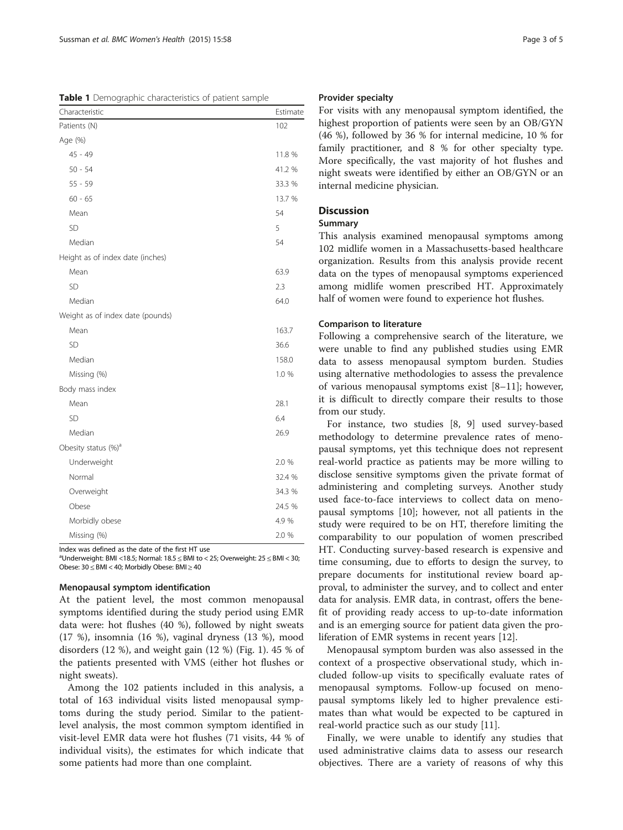<span id="page-3-0"></span>Table 1 Demographic characteristics of patient sample

| Characteristic                   | Estimate |
|----------------------------------|----------|
| Patients (N)                     | 102      |
| Age (%)                          |          |
| $45 - 49$                        | 11.8 %   |
| $50 - 54$                        | 41.2 %   |
| $55 - 59$                        | 33.3 %   |
| $60 - 65$                        | 13.7 %   |
| Mean                             | 54       |
| <b>SD</b>                        | 5        |
| Median                           | 54       |
| Height as of index date (inches) |          |
| Mean                             | 63.9     |
| SD                               | 2.3      |
| Median                           | 64.0     |
| Weight as of index date (pounds) |          |
| Mean                             | 163.7    |
| <b>SD</b>                        | 36.6     |
| Median                           | 158.0    |
| Missing (%)                      | 1.0 %    |
| Body mass index                  |          |
| Mean                             | 28.1     |
| SD                               | 6.4      |
| Median                           | 26.9     |
| Obesity status (%) <sup>a</sup>  |          |
| Underweight                      | 2.0 %    |
| Normal                           | 32.4 %   |
| Overweight                       | 34.3 %   |
| Obese                            | 24.5 %   |
| Morbidly obese                   | 4.9%     |
| Missing (%)                      | 2.0 %    |

Index was defined as the date of the first HT use

<sup>a</sup>Underweight: BMI <18.5; Normal: 18.5  $\leq$  BMI to < 25; Overweight: 25  $\leq$  BMI < 30; Obese: 30 ≤ BMI < 40; Morbidly Obese: BMI ≥ 40

#### Menopausal symptom identification

At the patient level, the most common menopausal symptoms identified during the study period using EMR data were: hot flushes (40 %), followed by night sweats (17 %), insomnia (16 %), vaginal dryness (13 %), mood disorders (12 %), and weight gain (12 %) (Fig. [1](#page-4-0)). 45 % of the patients presented with VMS (either hot flushes or night sweats).

Among the 102 patients included in this analysis, a total of 163 individual visits listed menopausal symptoms during the study period. Similar to the patientlevel analysis, the most common symptom identified in visit-level EMR data were hot flushes (71 visits, 44 % of individual visits), the estimates for which indicate that some patients had more than one complaint.

#### Provider specialty

For visits with any menopausal symptom identified, the highest proportion of patients were seen by an OB/GYN (46 %), followed by 36 % for internal medicine, 10 % for family practitioner, and 8 % for other specialty type. More specifically, the vast majority of hot flushes and night sweats were identified by either an OB/GYN or an internal medicine physician.

#### Discussion

#### Summary

This analysis examined menopausal symptoms among 102 midlife women in a Massachusetts-based healthcare organization. Results from this analysis provide recent data on the types of menopausal symptoms experienced among midlife women prescribed HT. Approximately half of women were found to experience hot flushes.

#### Comparison to literature

Following a comprehensive search of the literature, we were unable to find any published studies using EMR data to assess menopausal symptom burden. Studies using alternative methodologies to assess the prevalence of various menopausal symptoms exist [\[8](#page-5-0)–[11\]](#page-5-0); however, it is difficult to directly compare their results to those from our study.

For instance, two studies [\[8](#page-5-0), [9](#page-5-0)] used survey-based methodology to determine prevalence rates of menopausal symptoms, yet this technique does not represent real-world practice as patients may be more willing to disclose sensitive symptoms given the private format of administering and completing surveys. Another study used face-to-face interviews to collect data on menopausal symptoms [\[10](#page-5-0)]; however, not all patients in the study were required to be on HT, therefore limiting the comparability to our population of women prescribed HT. Conducting survey-based research is expensive and time consuming, due to efforts to design the survey, to prepare documents for institutional review board approval, to administer the survey, and to collect and enter data for analysis. EMR data, in contrast, offers the benefit of providing ready access to up-to-date information and is an emerging source for patient data given the proliferation of EMR systems in recent years [[12\]](#page-5-0).

Menopausal symptom burden was also assessed in the context of a prospective observational study, which included follow-up visits to specifically evaluate rates of menopausal symptoms. Follow-up focused on menopausal symptoms likely led to higher prevalence estimates than what would be expected to be captured in real-world practice such as our study [[11\]](#page-5-0).

Finally, we were unable to identify any studies that used administrative claims data to assess our research objectives. There are a variety of reasons of why this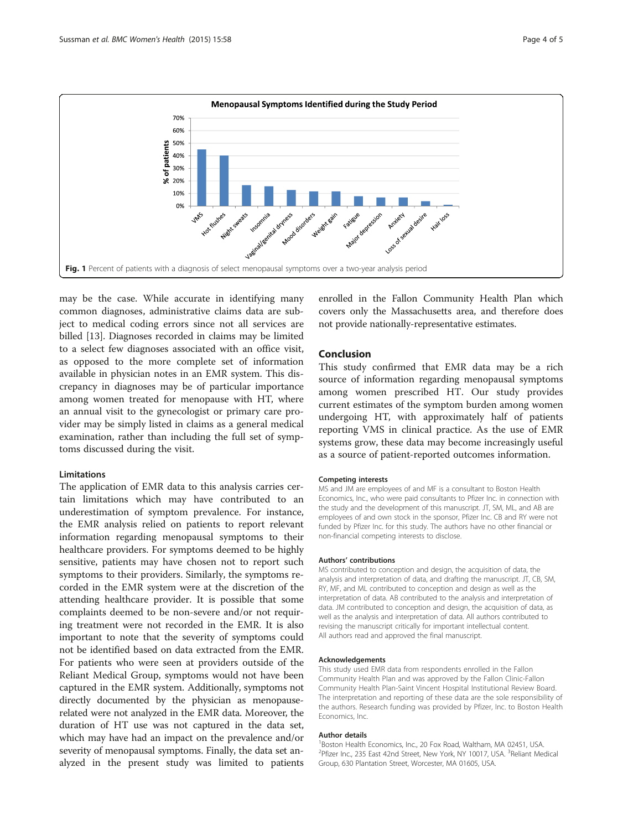<span id="page-4-0"></span>

may be the case. While accurate in identifying many common diagnoses, administrative claims data are subject to medical coding errors since not all services are billed [[13](#page-5-0)]. Diagnoses recorded in claims may be limited to a select few diagnoses associated with an office visit, as opposed to the more complete set of information available in physician notes in an EMR system. This discrepancy in diagnoses may be of particular importance among women treated for menopause with HT, where an annual visit to the gynecologist or primary care provider may be simply listed in claims as a general medical examination, rather than including the full set of symptoms discussed during the visit.

#### **Limitations**

The application of EMR data to this analysis carries certain limitations which may have contributed to an underestimation of symptom prevalence. For instance, the EMR analysis relied on patients to report relevant information regarding menopausal symptoms to their healthcare providers. For symptoms deemed to be highly sensitive, patients may have chosen not to report such symptoms to their providers. Similarly, the symptoms recorded in the EMR system were at the discretion of the attending healthcare provider. It is possible that some complaints deemed to be non-severe and/or not requiring treatment were not recorded in the EMR. It is also important to note that the severity of symptoms could not be identified based on data extracted from the EMR. For patients who were seen at providers outside of the Reliant Medical Group, symptoms would not have been captured in the EMR system. Additionally, symptoms not directly documented by the physician as menopauserelated were not analyzed in the EMR data. Moreover, the duration of HT use was not captured in the data set, which may have had an impact on the prevalence and/or severity of menopausal symptoms. Finally, the data set analyzed in the present study was limited to patients

enrolled in the Fallon Community Health Plan which covers only the Massachusetts area, and therefore does not provide nationally-representative estimates.

#### Conclusion

This study confirmed that EMR data may be a rich source of information regarding menopausal symptoms among women prescribed HT. Our study provides current estimates of the symptom burden among women undergoing HT, with approximately half of patients reporting VMS in clinical practice. As the use of EMR systems grow, these data may become increasingly useful as a source of patient-reported outcomes information.

#### Competing interests

MS and JM are employees of and MF is a consultant to Boston Health Economics, Inc., who were paid consultants to Pfizer Inc. in connection with the study and the development of this manuscript. JT, SM, ML, and AB are employees of and own stock in the sponsor, Pfizer Inc. CB and RY were not funded by Pfizer Inc. for this study. The authors have no other financial or non-financial competing interests to disclose.

#### Authors' contributions

MS contributed to conception and design, the acquisition of data, the analysis and interpretation of data, and drafting the manuscript. JT, CB, SM, RY, MF, and ML contributed to conception and design as well as the interpretation of data. AB contributed to the analysis and interpretation of data. JM contributed to conception and design, the acquisition of data, as well as the analysis and interpretation of data. All authors contributed to revising the manuscript critically for important intellectual content. All authors read and approved the final manuscript.

#### Acknowledgements

This study used EMR data from respondents enrolled in the Fallon Community Health Plan and was approved by the Fallon Clinic-Fallon Community Health Plan-Saint Vincent Hospital Institutional Review Board. The interpretation and reporting of these data are the sole responsibility of the authors. Research funding was provided by Pfizer, Inc. to Boston Health Economics, Inc.

#### Author details

<sup>1</sup> Boston Health Economics, Inc., 20 Fox Road, Waltham, MA 02451, USA <sup>2</sup>Pfizer Inc., 235 East 42nd Street, New York, NY 10017, USA. <sup>3</sup>Reliant Medical Group, 630 Plantation Street, Worcester, MA 01605, USA.